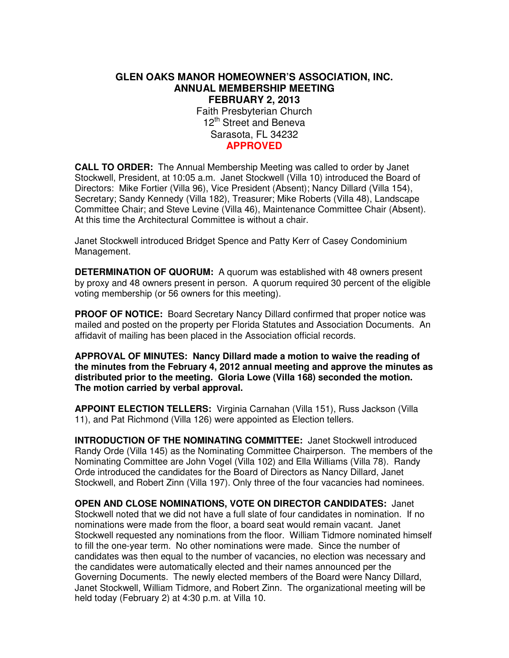# **GLEN OAKS MANOR HOMEOWNER'S ASSOCIATION, INC. ANNUAL MEMBERSHIP MEETING FEBRUARY 2, 2013**  Faith Presbyterian Church 12<sup>th</sup> Street and Beneva Sarasota, FL 34232 **APPROVED**

**CALL TO ORDER:** The Annual Membership Meeting was called to order by Janet Stockwell, President, at 10:05 a.m. Janet Stockwell (Villa 10) introduced the Board of Directors: Mike Fortier (Villa 96), Vice President (Absent); Nancy Dillard (Villa 154), Secretary; Sandy Kennedy (Villa 182), Treasurer; Mike Roberts (Villa 48), Landscape Committee Chair; and Steve Levine (Villa 46), Maintenance Committee Chair (Absent). At this time the Architectural Committee is without a chair.

Janet Stockwell introduced Bridget Spence and Patty Kerr of Casey Condominium Management.

**DETERMINATION OF QUORUM:** A quorum was established with 48 owners present by proxy and 48 owners present in person. A quorum required 30 percent of the eligible voting membership (or 56 owners for this meeting).

**PROOF OF NOTICE:** Board Secretary Nancy Dillard confirmed that proper notice was mailed and posted on the property per Florida Statutes and Association Documents. An affidavit of mailing has been placed in the Association official records.

**APPROVAL OF MINUTES: Nancy Dillard made a motion to waive the reading of the minutes from the February 4, 2012 annual meeting and approve the minutes as distributed prior to the meeting. Gloria Lowe (Villa 168) seconded the motion. The motion carried by verbal approval.** 

**APPOINT ELECTION TELLERS:** Virginia Carnahan (Villa 151), Russ Jackson (Villa 11), and Pat Richmond (Villa 126) were appointed as Election tellers.

**INTRODUCTION OF THE NOMINATING COMMITTEE:** Janet Stockwell introduced Randy Orde (Villa 145) as the Nominating Committee Chairperson. The members of the Nominating Committee are John Vogel (Villa 102) and Ella Williams (Villa 78). Randy Orde introduced the candidates for the Board of Directors as Nancy Dillard, Janet Stockwell, and Robert Zinn (Villa 197). Only three of the four vacancies had nominees.

**OPEN AND CLOSE NOMINATIONS, VOTE ON DIRECTOR CANDIDATES:** Janet Stockwell noted that we did not have a full slate of four candidates in nomination. If no nominations were made from the floor, a board seat would remain vacant. Janet Stockwell requested any nominations from the floor. William Tidmore nominated himself to fill the one-year term. No other nominations were made. Since the number of candidates was then equal to the number of vacancies, no election was necessary and the candidates were automatically elected and their names announced per the Governing Documents. The newly elected members of the Board were Nancy Dillard, Janet Stockwell, William Tidmore, and Robert Zinn. The organizational meeting will be held today (February 2) at 4:30 p.m. at Villa 10.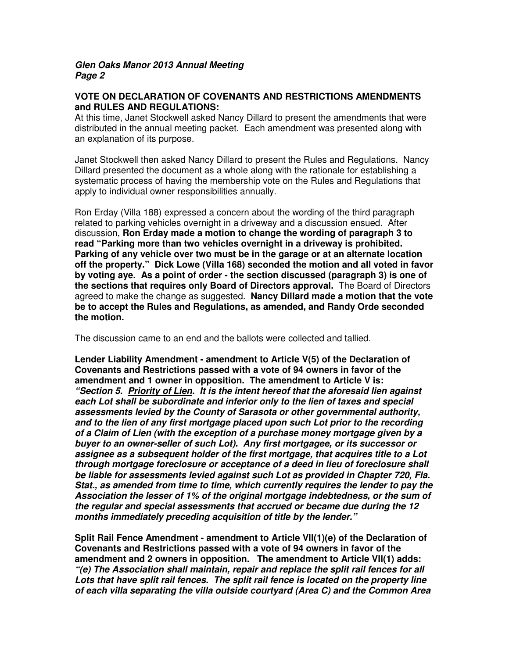## **VOTE ON DECLARATION OF COVENANTS AND RESTRICTIONS AMENDMENTS and RULES AND REGULATIONS:**

At this time, Janet Stockwell asked Nancy Dillard to present the amendments that were distributed in the annual meeting packet. Each amendment was presented along with an explanation of its purpose.

Janet Stockwell then asked Nancy Dillard to present the Rules and Regulations. Nancy Dillard presented the document as a whole along with the rationale for establishing a systematic process of having the membership vote on the Rules and Regulations that apply to individual owner responsibilities annually.

Ron Erday (Villa 188) expressed a concern about the wording of the third paragraph related to parking vehicles overnight in a driveway and a discussion ensued. After discussion, **Ron Erday made a motion to change the wording of paragraph 3 to read "Parking more than two vehicles overnight in a driveway is prohibited. Parking of any vehicle over two must be in the garage or at an alternate location off the property." Dick Lowe (Villa 168) seconded the motion and all voted in favor by voting aye. As a point of order - the section discussed (paragraph 3) is one of the sections that requires only Board of Directors approval.** The Board of Directors agreed to make the change as suggested. **Nancy Dillard made a motion that the vote be to accept the Rules and Regulations, as amended, and Randy Orde seconded the motion.** 

The discussion came to an end and the ballots were collected and tallied.

**Lender Liability Amendment - amendment to Article V(5) of the Declaration of Covenants and Restrictions passed with a vote of 94 owners in favor of the amendment and 1 owner in opposition. The amendment to Article V is: "Section 5. Priority of Lien. It is the intent hereof that the aforesaid lien against each Lot shall be subordinate and inferior only to the lien of taxes and special assessments levied by the County of Sarasota or other governmental authority, and to the lien of any first mortgage placed upon such Lot prior to the recording of a Claim of Lien (with the exception of a purchase money mortgage given by a buyer to an owner-seller of such Lot). Any first mortgagee, or its successor or assignee as a subsequent holder of the first mortgage, that acquires title to a Lot through mortgage foreclosure or acceptance of a deed in lieu of foreclosure shall be liable for assessments levied against such Lot as provided in Chapter 720, Fla. Stat., as amended from time to time, which currently requires the lender to pay the Association the lesser of 1% of the original mortgage indebtedness, or the sum of the regular and special assessments that accrued or became due during the 12 months immediately preceding acquisition of title by the lender."** 

**Split Rail Fence Amendment - amendment to Article VII(1)(e) of the Declaration of Covenants and Restrictions passed with a vote of 94 owners in favor of the amendment and 2 owners in opposition. The amendment to Article VII(1) adds: "(e) The Association shall maintain, repair and replace the split rail fences for all Lots that have split rail fences. The split rail fence is located on the property line of each villa separating the villa outside courtyard (Area C) and the Common Area**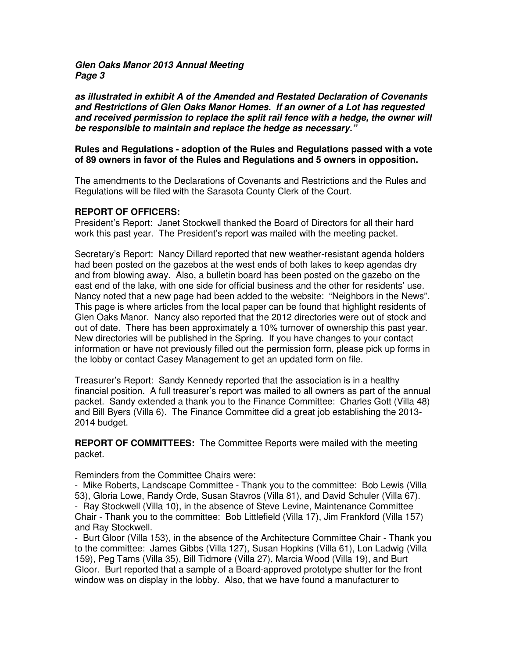**as illustrated in exhibit A of the Amended and Restated Declaration of Covenants and Restrictions of Glen Oaks Manor Homes. If an owner of a Lot has requested and received permission to replace the split rail fence with a hedge, the owner will be responsible to maintain and replace the hedge as necessary."** 

### **Rules and Regulations - adoption of the Rules and Regulations passed with a vote of 89 owners in favor of the Rules and Regulations and 5 owners in opposition.**

The amendments to the Declarations of Covenants and Restrictions and the Rules and Regulations will be filed with the Sarasota County Clerk of the Court.

### **REPORT OF OFFICERS:**

President's Report: Janet Stockwell thanked the Board of Directors for all their hard work this past year. The President's report was mailed with the meeting packet.

Secretary's Report: Nancy Dillard reported that new weather-resistant agenda holders had been posted on the gazebos at the west ends of both lakes to keep agendas dry and from blowing away. Also, a bulletin board has been posted on the gazebo on the east end of the lake, with one side for official business and the other for residents' use. Nancy noted that a new page had been added to the website: "Neighbors in the News". This page is where articles from the local paper can be found that highlight residents of Glen Oaks Manor. Nancy also reported that the 2012 directories were out of stock and out of date. There has been approximately a 10% turnover of ownership this past year. New directories will be published in the Spring. If you have changes to your contact information or have not previously filled out the permission form, please pick up forms in the lobby or contact Casey Management to get an updated form on file.

Treasurer's Report: Sandy Kennedy reported that the association is in a healthy financial position. A full treasurer's report was mailed to all owners as part of the annual packet. Sandy extended a thank you to the Finance Committee: Charles Gott (Villa 48) and Bill Byers (Villa 6). The Finance Committee did a great job establishing the 2013- 2014 budget.

**REPORT OF COMMITTEES:** The Committee Reports were mailed with the meeting packet.

Reminders from the Committee Chairs were:

- Mike Roberts, Landscape Committee - Thank you to the committee: Bob Lewis (Villa 53), Gloria Lowe, Randy Orde, Susan Stavros (Villa 81), and David Schuler (Villa 67). - Ray Stockwell (Villa 10), in the absence of Steve Levine, Maintenance Committee Chair - Thank you to the committee: Bob Littlefield (Villa 17), Jim Frankford (Villa 157) and Ray Stockwell.

- Burt Gloor (Villa 153), in the absence of the Architecture Committee Chair - Thank you to the committee: James Gibbs (Villa 127), Susan Hopkins (Villa 61), Lon Ladwig (Villa 159), Peg Tams (Villa 35), Bill Tidmore (Villa 27), Marcia Wood (Villa 19), and Burt Gloor. Burt reported that a sample of a Board-approved prototype shutter for the front window was on display in the lobby. Also, that we have found a manufacturer to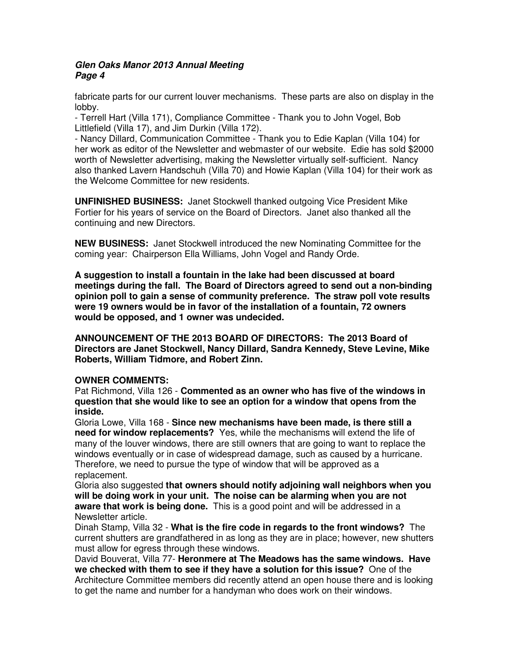fabricate parts for our current louver mechanisms. These parts are also on display in the lobby.

- Terrell Hart (Villa 171), Compliance Committee - Thank you to John Vogel, Bob Littlefield (Villa 17), and Jim Durkin (Villa 172).

- Nancy Dillard, Communication Committee - Thank you to Edie Kaplan (Villa 104) for her work as editor of the Newsletter and webmaster of our website. Edie has sold \$2000 worth of Newsletter advertising, making the Newsletter virtually self-sufficient. Nancy also thanked Lavern Handschuh (Villa 70) and Howie Kaplan (Villa 104) for their work as the Welcome Committee for new residents.

**UNFINISHED BUSINESS:** Janet Stockwell thanked outgoing Vice President Mike Fortier for his years of service on the Board of Directors. Janet also thanked all the continuing and new Directors.

**NEW BUSINESS:** Janet Stockwell introduced the new Nominating Committee for the coming year: Chairperson Ella Williams, John Vogel and Randy Orde.

**A suggestion to install a fountain in the lake had been discussed at board meetings during the fall. The Board of Directors agreed to send out a non-binding opinion poll to gain a sense of community preference. The straw poll vote results were 19 owners would be in favor of the installation of a fountain, 72 owners would be opposed, and 1 owner was undecided.** 

**ANNOUNCEMENT OF THE 2013 BOARD OF DIRECTORS: The 2013 Board of Directors are Janet Stockwell, Nancy Dillard, Sandra Kennedy, Steve Levine, Mike Roberts, William Tidmore, and Robert Zinn.** 

## **OWNER COMMENTS:**

Pat Richmond, Villa 126 - **Commented as an owner who has five of the windows in question that she would like to see an option for a window that opens from the inside.** 

Gloria Lowe, Villa 168 - **Since new mechanisms have been made, is there still a need for window replacements?** Yes, while the mechanisms will extend the life of many of the louver windows, there are still owners that are going to want to replace the windows eventually or in case of widespread damage, such as caused by a hurricane. Therefore, we need to pursue the type of window that will be approved as a replacement.

Gloria also suggested **that owners should notify adjoining wall neighbors when you will be doing work in your unit. The noise can be alarming when you are not aware that work is being done.** This is a good point and will be addressed in a Newsletter article.

Dinah Stamp, Villa 32 - **What is the fire code in regards to the front windows?** The current shutters are grandfathered in as long as they are in place; however, new shutters must allow for egress through these windows.

David Bouverat, Villa 77- **Heronmere at The Meadows has the same windows. Have we checked with them to see if they have a solution for this issue?** One of the Architecture Committee members did recently attend an open house there and is looking to get the name and number for a handyman who does work on their windows.